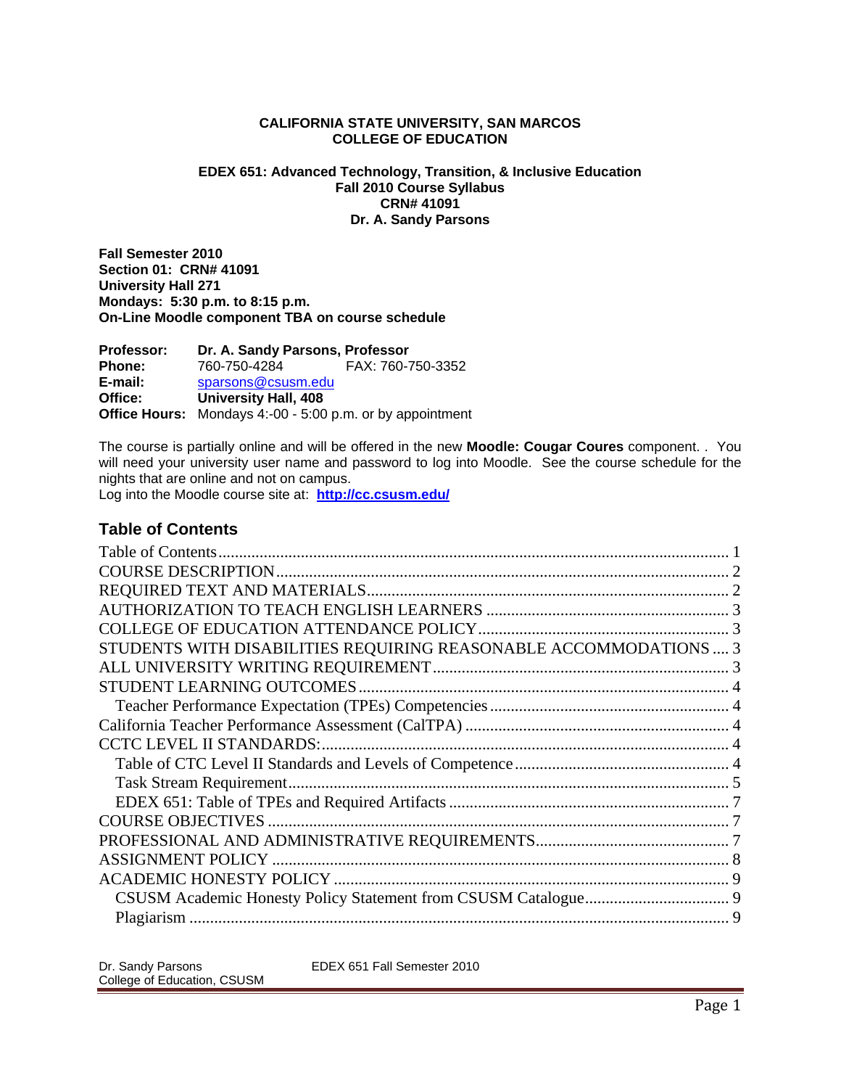## **CALIFORNIA STATE UNIVERSITY, SAN MARCOS COLLEGE OF EDUCATION**

## **EDEX 651: Advanced Technology, Transition, & Inclusive Education Fall 2010 Course Syllabus CRN# 41091 Dr. A. Sandy Parsons**

**Fall Semester 2010 Section 01: CRN# 41091 University Hall 271 Mondays: 5:30 p.m. to 8:15 p.m. On-Line Moodle component TBA on course schedule** 

 **E-mail:** sparsons@csusm.edu **Office Hours:** Mondays 4:-00 - 5:00 p.m. or by appointment **Professor: Dr. A. Sandy Parsons, Professor Phone:** 760-750-4284 FAX: 760-750-3352 **Office: University Hall, 408** 

The course is partially online and will be offered in the new **Moodle: Cougar Coures** component. . You will need your university user name and password to log into Moodle. See the course schedule for the nights that are online and not on campus.

 Log into the Moodle course site at: **http://cc.csusm.edu/**

# **Table of Contents**

| STUDENTS WITH DISABILITIES REQUIRING REASONABLE ACCOMMODATIONS  3 |  |
|-------------------------------------------------------------------|--|
|                                                                   |  |
|                                                                   |  |
|                                                                   |  |
|                                                                   |  |
|                                                                   |  |
|                                                                   |  |
|                                                                   |  |
|                                                                   |  |
|                                                                   |  |
|                                                                   |  |
|                                                                   |  |
|                                                                   |  |
|                                                                   |  |
|                                                                   |  |
|                                                                   |  |
|                                                                   |  |
|                                                                   |  |
|                                                                   |  |
|                                                                   |  |

| Dr. Sandy Parsons           | EDEX 651 Fall Semester 2010 |
|-----------------------------|-----------------------------|
| College of Education, CSUSM |                             |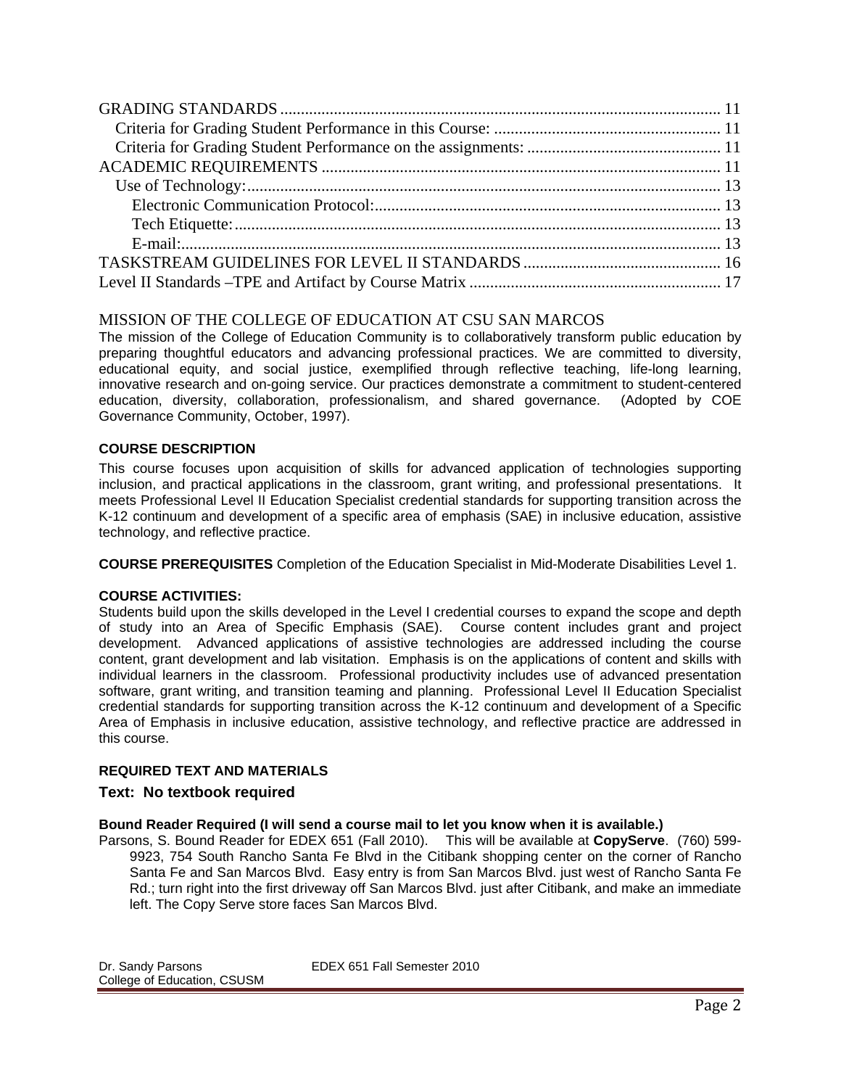## MISSION OF THE COLLEGE OF EDUCATION AT CSU SAN MARCOS

The mission of the College of Education Community is to collaboratively transform public education by preparing thoughtful educators and advancing professional practices. We are committed to diversity, educational equity, and social justice, exemplified through reflective teaching, life-long learning, innovative research and on-going service. Our practices demonstrate a commitment to student-centered education, diversity, collaboration, professionalism, and shared governance. (Adopted by COE Governance Community, October, 1997).

## **COURSE DESCRIPTION**

This course focuses upon acquisition of skills for advanced application of technologies supporting inclusion, and practical applications in the classroom, grant writing, and professional presentations. It meets Professional Level II Education Specialist credential standards for supporting transition across the K-12 continuum and development of a specific area of emphasis (SAE) in inclusive education, assistive technology, and reflective practice.

**COURSE PREREQUISITES** Completion of the Education Specialist in Mid-Moderate Disabilities Level 1.

## **COURSE ACTIVITIES:**

Students build upon the skills developed in the Level I credential courses to expand the scope and depth of study into an Area of Specific Emphasis (SAE). Course content includes grant and project development. Advanced applications of assistive technologies are addressed including the course content, grant development and lab visitation. Emphasis is on the applications of content and skills with individual learners in the classroom. Professional productivity includes use of advanced presentation software, grant writing, and transition teaming and planning. Professional Level II Education Specialist credential standards for supporting transition across the K-12 continuum and development of a Specific Area of Emphasis in inclusive education, assistive technology, and reflective practice are addressed in this course.

## **REQUIRED TEXT AND MATERIALS**

## **Text: No textbook required**

## **Bound Reader Required (I will send a course mail to let you know when it is available.)**

 Parsons, S. Bound Reader for EDEX 651 (Fall 2010). This will be available at **CopyServe**. (760) 599- 9923, 754 South Rancho Santa Fe Blvd in the Citibank shopping center on the corner of Rancho Santa Fe and San Marcos Blvd. Easy entry is from San Marcos Blvd. just west of Rancho Santa Fe Rd.; turn right into the first driveway off San Marcos Blvd. just after Citibank, and make an immediate left. The Copy Serve store faces San Marcos Blvd.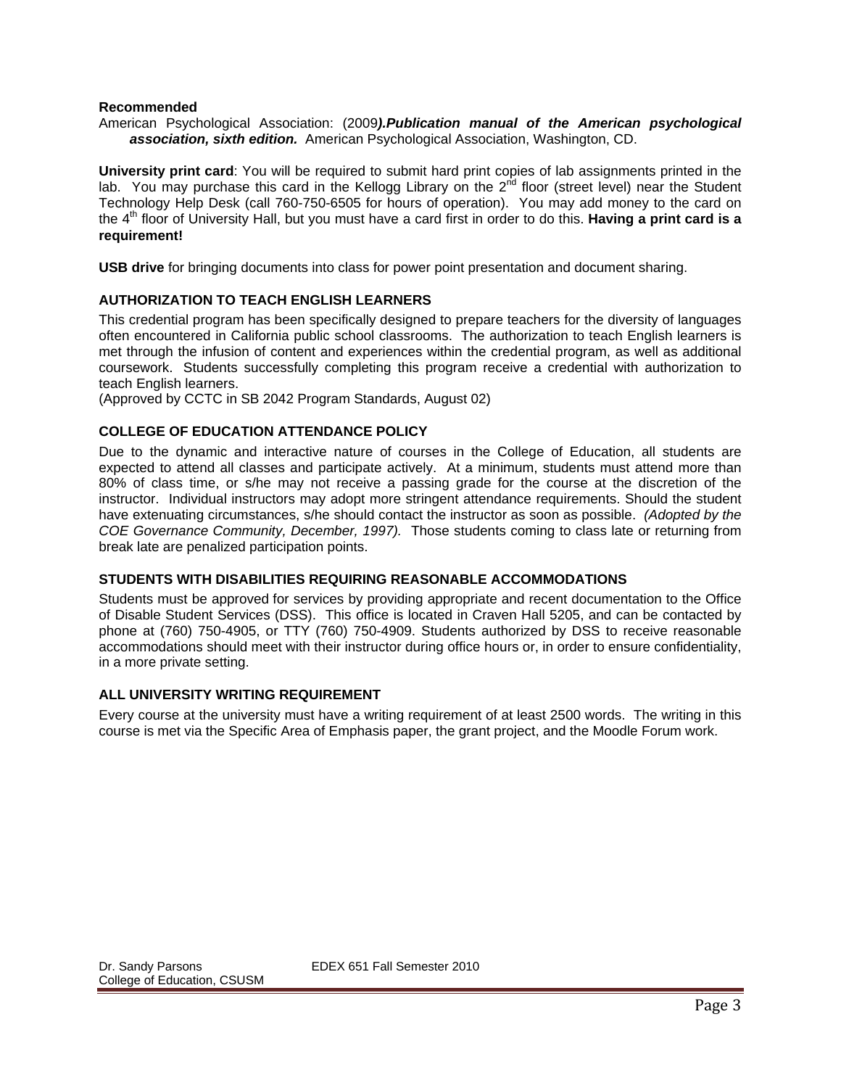#### **Recommended**

 *association, sixth edition.* American Psychological Association, Washington, CD. American Psychological Association: (2009*).Publication manual of the American psychological* 

**University print card**: You will be required to submit hard print copies of lab assignments printed in the lab. You may purchase this card in the Kellogg Library on the  $2^{nd}$  floor (street level) near the Student Technology Help Desk (call 760-750-6505 for hours of operation). You may add money to the card on the 4th floor of University Hall, but you must have a card first in order to do this. **Having a print card is a requirement!** 

**USB drive** for bringing documents into class for power point presentation and document sharing.

#### **AUTHORIZATION TO TEACH ENGLISH LEARNERS**

 often encountered in California public school classrooms. The authorization to teach English learners is This credential program has been specifically designed to prepare teachers for the diversity of languages met through the infusion of content and experiences within the credential program, as well as additional coursework. Students successfully completing this program receive a credential with authorization to teach English learners.

(Approved by CCTC in SB 2042 Program Standards, August 02)

## **COLLEGE OF EDUCATION ATTENDANCE POLICY**

 *COE Governance Community, December, 1997).* Those students coming to class late or returning from Due to the dynamic and interactive nature of courses in the College of Education, all students are expected to attend all classes and participate actively. At a minimum, students must attend more than 80% of class time, or s/he may not receive a passing grade for the course at the discretion of the instructor. Individual instructors may adopt more stringent attendance requirements. Should the student have extenuating circumstances, s/he should contact the instructor as soon as possible. *(Adopted by the*  break late are penalized participation points.

#### **STUDENTS WITH DISABILITIES REQUIRING REASONABLE ACCOMMODATIONS**

Students must be approved for services by providing appropriate and recent documentation to the Office of Disable Student Services (DSS). This office is located in Craven Hall 5205, and can be contacted by phone at (760) 750-4905, or TTY (760) 750-4909. Students authorized by DSS to receive reasonable accommodations should meet with their instructor during office hours or, in order to ensure confidentiality, in a more private setting.

## **ALL UNIVERSITY WRITING REQUIREMENT**

Every course at the university must have a writing requirement of at least 2500 words. The writing in this course is met via the Specific Area of Emphasis paper, the grant project, and the Moodle Forum work.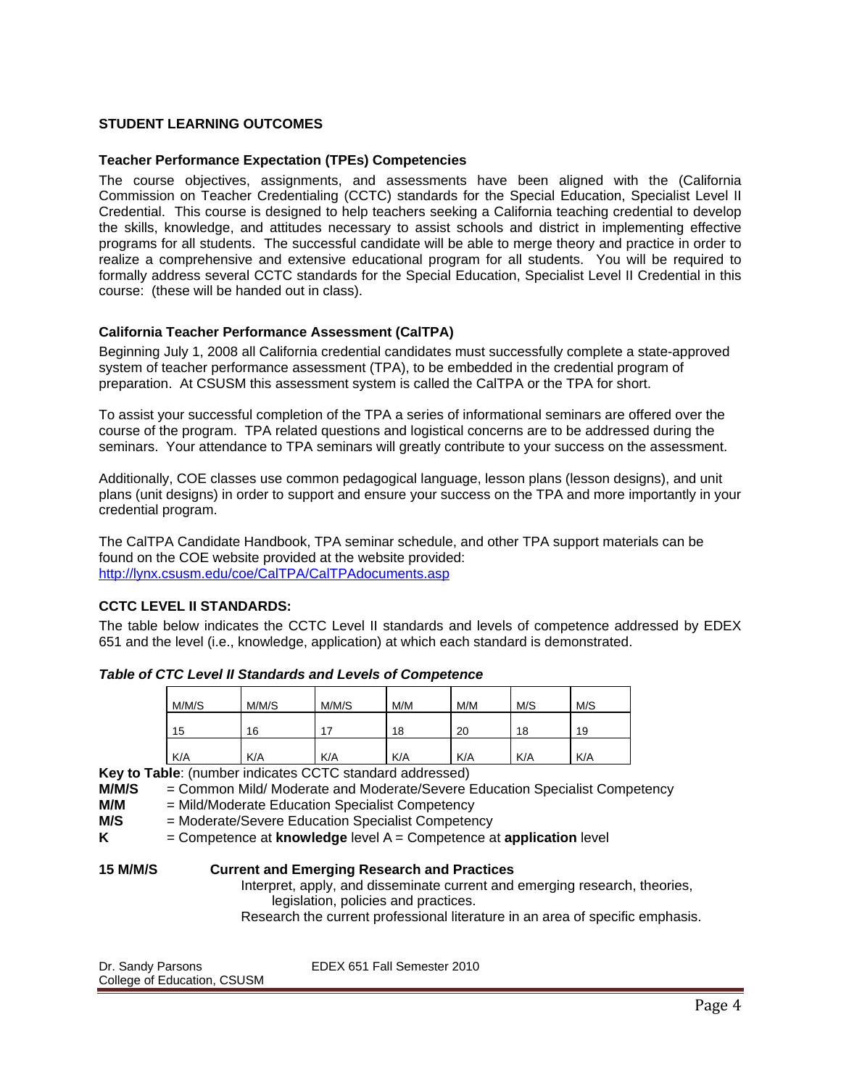## **STUDENT LEARNING OUTCOMES**

#### **Teacher Performance Expectation (TPEs) Competencies**

The course objectives, assignments, and assessments have been aligned with the (California Commission on Teacher Credentialing (CCTC) standards for the Special Education, Specialist Level II Credential. This course is designed to help teachers seeking a California teaching credential to develop the skills, knowledge, and attitudes necessary to assist schools and district in implementing effective programs for all students. The successful candidate will be able to merge theory and practice in order to realize a comprehensive and extensive educational program for all students. You will be required to formally address several CCTC standards for the Special Education, Specialist Level II Credential in this course: (these will be handed out in class).

#### **California Teacher Performance Assessment (CalTPA)**

Beginning July 1, 2008 all California credential candidates must successfully complete a state-approved system of teacher performance assessment (TPA), to be embedded in the credential program of preparation. At CSUSM this assessment system is called the CalTPA or the TPA for short.

To assist your successful completion of the TPA a series of informational seminars are offered over the course of the program. TPA related questions and logistical concerns are to be addressed during the seminars. Your attendance to TPA seminars will greatly contribute to your success on the assessment.

Additionally, COE classes use common pedagogical language, lesson plans (lesson designs), and unit plans (unit designs) in order to support and ensure your success on the TPA and more importantly in your credential program.

The CalTPA Candidate Handbook, TPA seminar schedule, and other TPA support materials can be found on the COE website provided at the website provided: http://lynx.csusm.edu/coe/CalTPA/CalTPAdocuments.asp

#### **CCTC LEVEL II STANDARDS:**

The table below indicates the CCTC Level II standards and levels of competence addressed by EDEX 651 and the level (i.e., knowledge, application) at which each standard is demonstrated.

| M/M/S | M/M/S | M/M/S | M/M | M/M | M/S | M/S |
|-------|-------|-------|-----|-----|-----|-----|
| 15    | 16    | 17    | 18  | 20  | 18  | 19  |
| K/A   | K/A   | K/A   | K/A | K/A | K/A | K/A |

*Table of CTC Level II Standards and Levels of Competence* 

**Key to Table**: (number indicates CCTC standard addressed)

**M/M/S** = Common Mild/ Moderate and Moderate/Severe Education Specialist Competency

**M/M** = Mild/Moderate Education Specialist Competency

**M/S** = Moderate/Severe Education Specialist Competency

**K** = Competence at **knowledge** level A = Competence at **application** level

## **15 M/M/S Current and Emerging Research and Practices**

Interpret, apply, and disseminate current and emerging research, theories, legislation, policies and practices.

Research the current professional literature in an area of specific emphasis.

| Dr. Sandy Parsons           | EDEX 651 Fall Semester 2010 |
|-----------------------------|-----------------------------|
| College of Education, CSUSM |                             |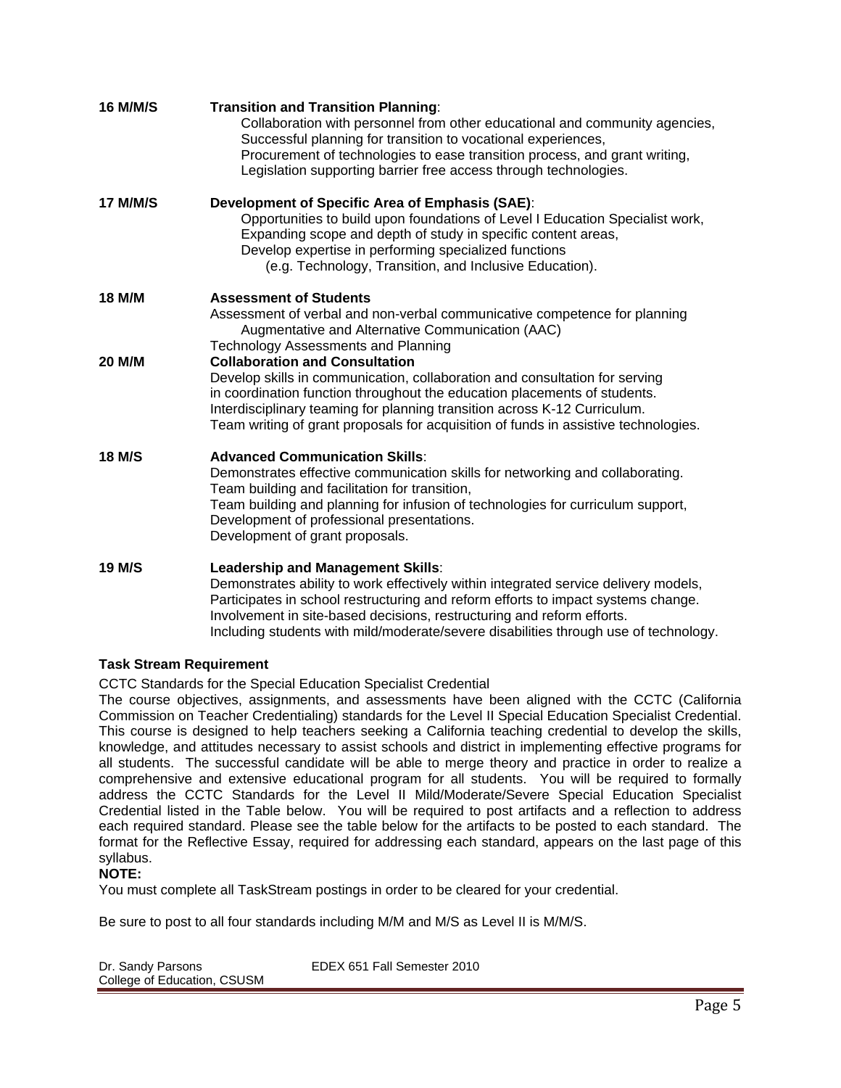| 16 M/M/S        | <b>Transition and Transition Planning:</b><br>Collaboration with personnel from other educational and community agencies,<br>Successful planning for transition to vocational experiences,<br>Procurement of technologies to ease transition process, and grant writing,<br>Legislation supporting barrier free access through technologies.                                    |
|-----------------|---------------------------------------------------------------------------------------------------------------------------------------------------------------------------------------------------------------------------------------------------------------------------------------------------------------------------------------------------------------------------------|
| <b>17 M/M/S</b> | Development of Specific Area of Emphasis (SAE):<br>Opportunities to build upon foundations of Level I Education Specialist work,<br>Expanding scope and depth of study in specific content areas,<br>Develop expertise in performing specialized functions<br>(e.g. Technology, Transition, and Inclusive Education).                                                           |
| 18 M/M          | <b>Assessment of Students</b><br>Assessment of verbal and non-verbal communicative competence for planning<br>Augmentative and Alternative Communication (AAC)<br><b>Technology Assessments and Planning</b>                                                                                                                                                                    |
| 20 M/M          | <b>Collaboration and Consultation</b><br>Develop skills in communication, collaboration and consultation for serving<br>in coordination function throughout the education placements of students.<br>Interdisciplinary teaming for planning transition across K-12 Curriculum.<br>Team writing of grant proposals for acquisition of funds in assistive technologies.           |
| <b>18 M/S</b>   | <b>Advanced Communication Skills:</b><br>Demonstrates effective communication skills for networking and collaborating.<br>Team building and facilitation for transition,<br>Team building and planning for infusion of technologies for curriculum support,<br>Development of professional presentations.<br>Development of grant proposals.                                    |
| <b>19 M/S</b>   | Leadership and Management Skills:<br>Demonstrates ability to work effectively within integrated service delivery models,<br>Participates in school restructuring and reform efforts to impact systems change.<br>Involvement in site-based decisions, restructuring and reform efforts.<br>Including students with mild/moderate/severe disabilities through use of technology. |

## **Task Stream Requirement**

CCTC Standards for the Special Education Specialist Credential

The course objectives, assignments, and assessments have been aligned with the CCTC (California Commission on Teacher Credentialing) standards for the Level II Special Education Specialist Credential. This course is designed to help teachers seeking a California teaching credential to develop the skills, knowledge, and attitudes necessary to assist schools and district in implementing effective programs for all students. The successful candidate will be able to merge theory and practice in order to realize a comprehensive and extensive educational program for all students. You will be required to formally address the CCTC Standards for the Level II Mild/Moderate/Severe Special Education Specialist Credential listed in the Table below. You will be required to post artifacts and a reflection to address each required standard. Please see the table below for the artifacts to be posted to each standard. The format for the Reflective Essay, required for addressing each standard, appears on the last page of this syllabus.

## **NOTE:**

You must complete all TaskStream postings in order to be cleared for your credential.

Be sure to post to all four standards including M/M and M/S as Level II is M/M/S.

| Dr. Sandy Parsons           | EDEX 651 Fall Semester 2010 |
|-----------------------------|-----------------------------|
| College of Education, CSUSM |                             |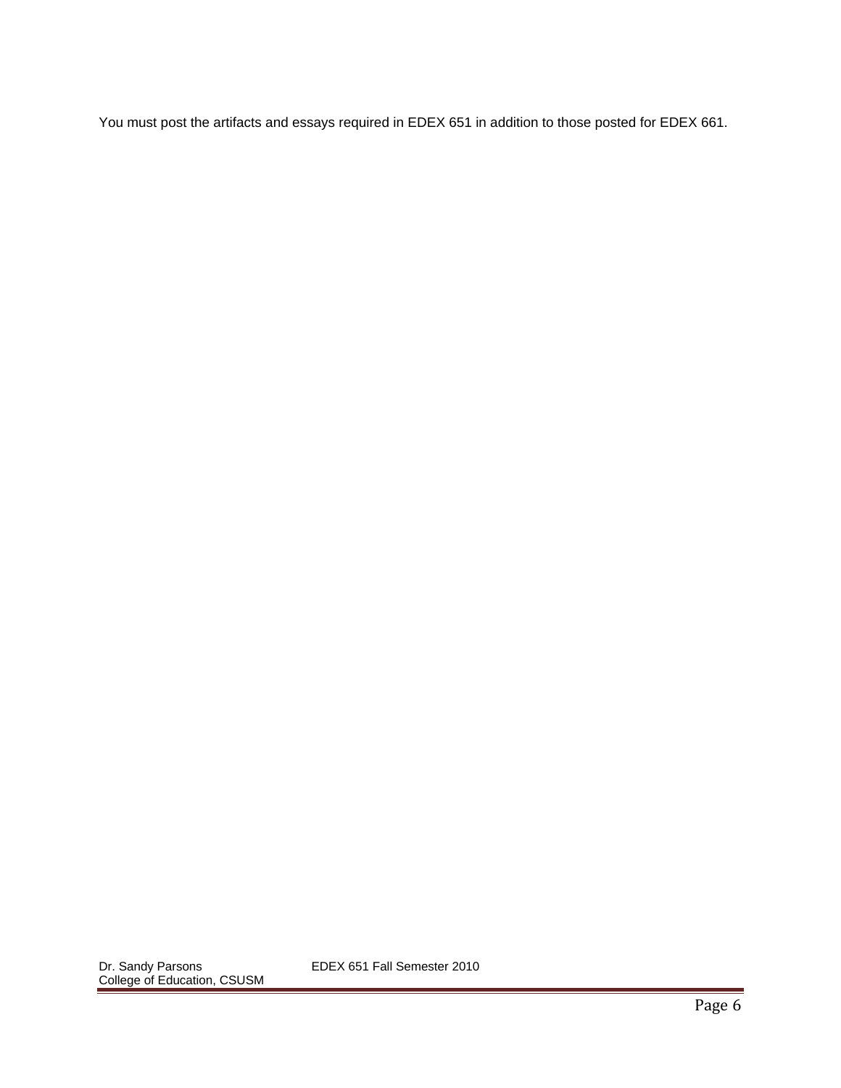You must post the artifacts and essays required in EDEX 651 in addition to those posted for EDEX 661.

EDEX 651 Fall Semester 2010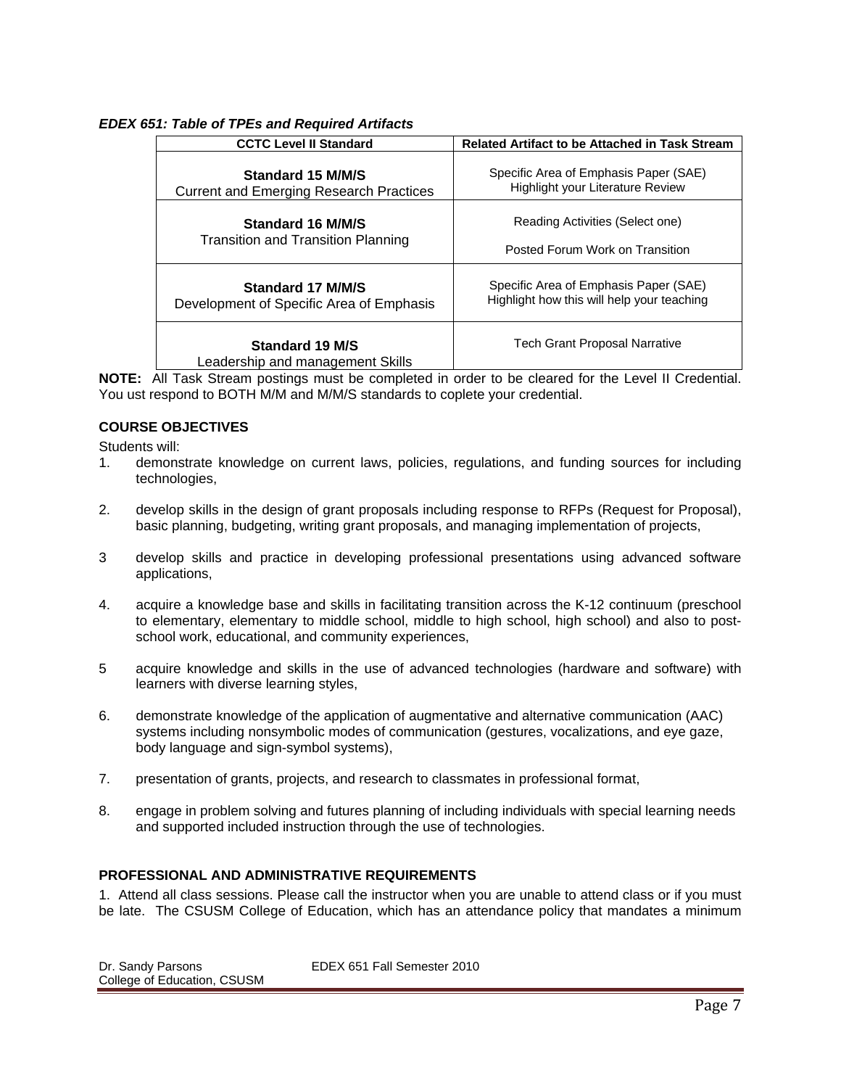## *EDEX 651: Table of TPEs and Required Artifacts*

| <b>CCTC Level II Standard</b>                                       | <b>Related Artifact to be Attached in Task Stream</b>                                                                                                     |  |
|---------------------------------------------------------------------|-----------------------------------------------------------------------------------------------------------------------------------------------------------|--|
| Standard 15 M/M/S<br><b>Current and Emerging Research Practices</b> | Specific Area of Emphasis Paper (SAE)<br>Highlight your Literature Review                                                                                 |  |
| Standard 16 M/M/S<br>Transition and Transition Planning             | Reading Activities (Select one)<br>Posted Forum Work on Transition<br>Specific Area of Emphasis Paper (SAE)<br>Highlight how this will help your teaching |  |
| Standard 17 M/M/S<br>Development of Specific Area of Emphasis       |                                                                                                                                                           |  |
| <b>Standard 19 M/S</b><br>Leadership and management Skills          | Tech Grant Proposal Narrative                                                                                                                             |  |

**NOTE:** All Task Stream postings must be completed in order to be cleared for the Level II Credential. You ust respond to BOTH M/M and M/M/S standards to coplete your credential.

## **COURSE OBJECTIVES**

Students will:

- 1. demonstrate knowledge on current laws, policies, regulations, and funding sources for including technologies,
- 2. develop skills in the design of grant proposals including response to RFPs (Request for Proposal), basic planning, budgeting, writing grant proposals, and managing implementation of projects,
- 3 develop skills and practice in developing professional presentations using advanced software applications,
- 4. acquire a knowledge base and skills in facilitating transition across the K-12 continuum (preschool to elementary, elementary to middle school, middle to high school, high school) and also to postschool work, educational, and community experiences,
- 5 acquire knowledge and skills in the use of advanced technologies (hardware and software) with learners with diverse learning styles,
- 6. demonstrate knowledge of the application of augmentative and alternative communication (AAC) systems including nonsymbolic modes of communication (gestures, vocalizations, and eye gaze, body language and sign-symbol systems),
- 7. presentation of grants, projects, and research to classmates in professional format,
- 8. engage in problem solving and futures planning of including individuals with special learning needs and supported included instruction through the use of technologies.

#### **PROFESSIONAL AND ADMINISTRATIVE REQUIREMENTS**

1. Attend all class sessions. Please call the instructor when you are unable to attend class or if you must be late. The CSUSM College of Education, which has an attendance policy that mandates a minimum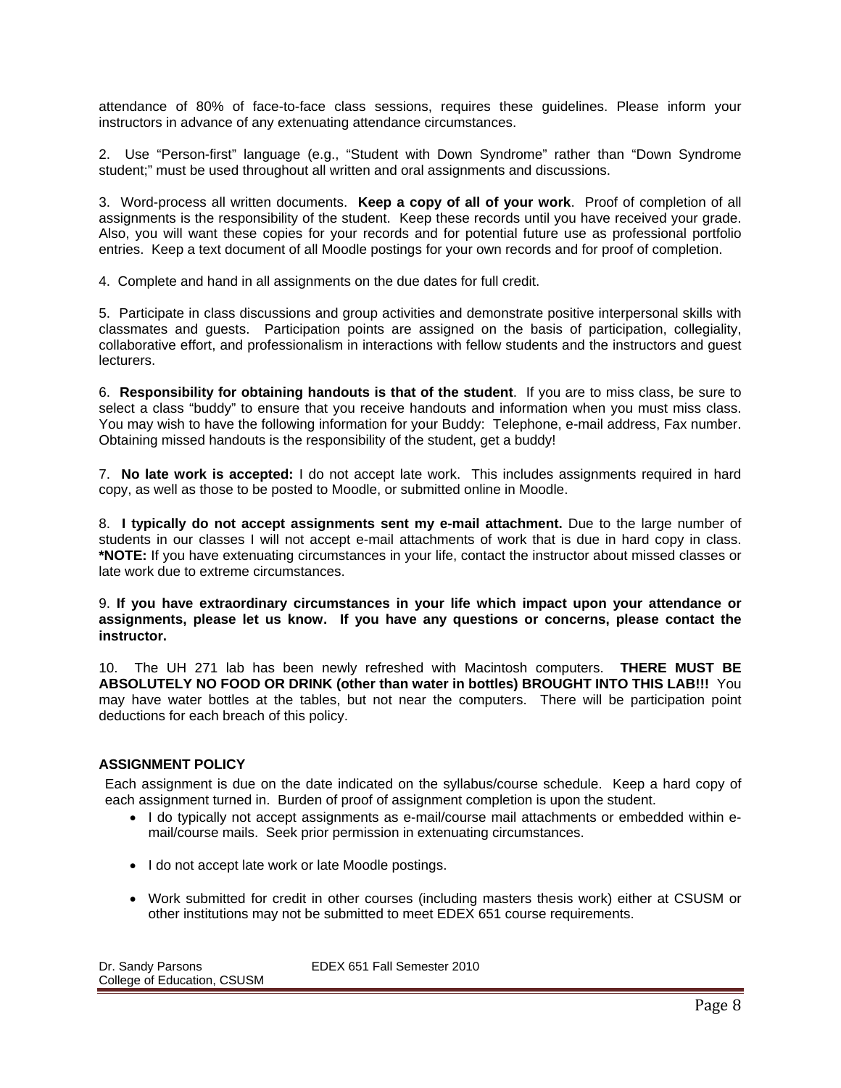attendance of 80% of face-to-face class sessions, requires these guidelines. Please inform your instructors in advance of any extenuating attendance circumstances.

2. Use "Person-first" language (e.g., "Student with Down Syndrome" rather than "Down Syndrome student;" must be used throughout all written and oral assignments and discussions.

3. Word-process all written documents. **Keep a copy of all of your work**. Proof of completion of all assignments is the responsibility of the student. Keep these records until you have received your grade. Also, you will want these copies for your records and for potential future use as professional portfolio entries. Keep a text document of all Moodle postings for your own records and for proof of completion.

4. Complete and hand in all assignments on the due dates for full credit.

5. Participate in class discussions and group activities and demonstrate positive interpersonal skills with classmates and guests. Participation points are assigned on the basis of participation, collegiality, collaborative effort, and professionalism in interactions with fellow students and the instructors and guest lecturers.

6. **Responsibility for obtaining handouts is that of the student**. If you are to miss class, be sure to select a class "buddy" to ensure that you receive handouts and information when you must miss class. You may wish to have the following information for your Buddy: Telephone, e-mail address, Fax number. Obtaining missed handouts is the responsibility of the student, get a buddy!

 7. **No late work is accepted:** I do not accept late work. This includes assignments required in hard copy, as well as those to be posted to Moodle, or submitted online in Moodle.

8. **I typically do not accept assignments sent my e-mail attachment.** Due to the large number of students in our classes I will not accept e-mail attachments of work that is due in hard copy in class. **\*NOTE:** If you have extenuating circumstances in your life, contact the instructor about missed classes or late work due to extreme circumstances.

9. **If you have extraordinary circumstances in your life which impact upon your attendance or assignments, please let us know. If you have any questions or concerns, please contact the instructor.** 

10. The UH 271 lab has been newly refreshed with Macintosh computers. **THERE MUST BE ABSOLUTELY NO FOOD OR DRINK (other than water in bottles) BROUGHT INTO THIS LAB!!!** You may have water bottles at the tables, but not near the computers. There will be participation point deductions for each breach of this policy.

## **ASSIGNMENT POLICY**

Each assignment is due on the date indicated on the syllabus/course schedule. Keep a hard copy of each assignment turned in. Burden of proof of assignment completion is upon the student.

- I do typically not accept assignments as e-mail/course mail attachments or embedded within email/course mails. Seek prior permission in extenuating circumstances.
- I do not accept late work or late Moodle postings.
- Work submitted for credit in other courses (including masters thesis work) either at CSUSM or other institutions may not be submitted to meet EDEX 651 course requirements.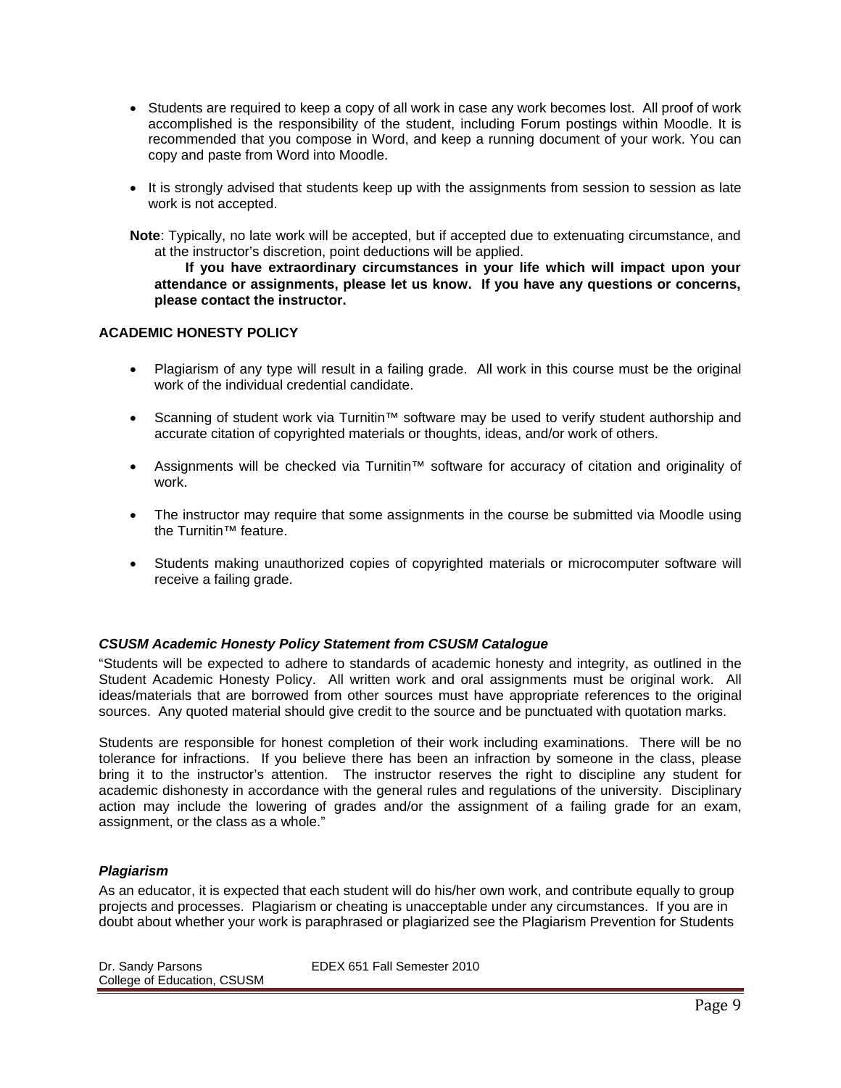- Students are required to keep a copy of all work in case any work becomes lost. All proof of work accomplished is the responsibility of the student, including Forum postings within Moodle. It is recommended that you compose in Word, and keep a running document of your work. You can copy and paste from Word into Moodle.
- It is strongly advised that students keep up with the assignments from session to session as late work is not accepted.

**Note**: Typically, no late work will be accepted, but if accepted due to extenuating circumstance, and at the instructor's discretion, point deductions will be applied.

 **attendance or assignments, please let us know. If you have any questions or concerns, If you have extraordinary circumstances in your life which will impact upon your please contact the instructor.** 

## **ACADEMIC HONESTY POLICY**

- Plagiarism of any type will result in a failing grade. All work in this course must be the original work of the individual credential candidate.
- Scanning of student work via Turnitin™ software may be used to verify student authorship and accurate citation of copyrighted materials or thoughts, ideas, and/or work of others.
- Assignments will be checked via Turnitin™ software for accuracy of citation and originality of work.
- The instructor may require that some assignments in the course be submitted via Moodle using the Turnitin™ feature.
- Students making unauthorized copies of copyrighted materials or microcomputer software will receive a failing grade.

#### *CSUSM Academic Honesty Policy Statement from CSUSM Catalogue*

"Students will be expected to adhere to standards of academic honesty and integrity, as outlined in the Student Academic Honesty Policy. All written work and oral assignments must be original work. All ideas/materials that are borrowed from other sources must have appropriate references to the original sources. Any quoted material should give credit to the source and be punctuated with quotation marks.

Students are responsible for honest completion of their work including examinations. There will be no tolerance for infractions. If you believe there has been an infraction by someone in the class, please bring it to the instructor's attention. The instructor reserves the right to discipline any student for academic dishonesty in accordance with the general rules and regulations of the university. Disciplinary action may include the lowering of grades and/or the assignment of a failing grade for an exam, assignment, or the class as a whole."

#### *Plagiarism*

As an educator, it is expected that each student will do his/her own work, and contribute equally to group projects and processes. Plagiarism or cheating is unacceptable under any circumstances. If you are in doubt about whether your work is paraphrased or plagiarized see the Plagiarism Prevention for Students

Dr. Sandy Parsons EDEX 651 Fall Semester 2010 College of Education, CSUSM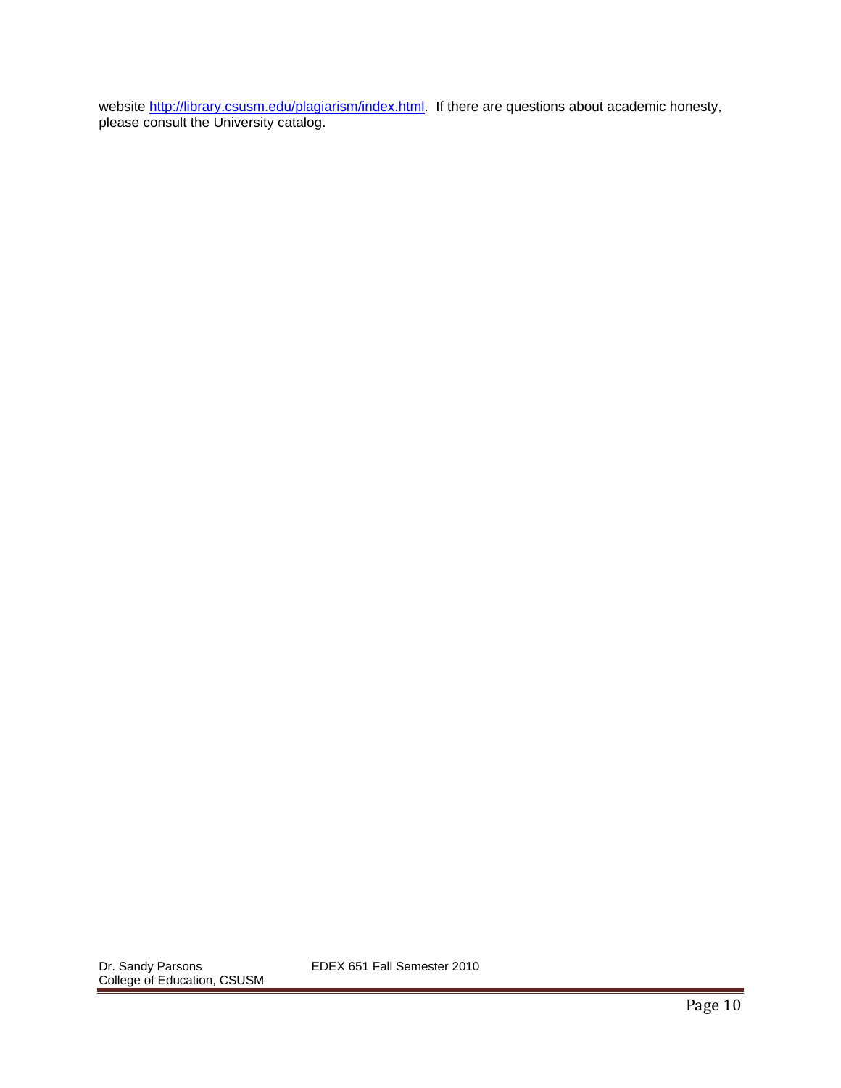website http://library.csusm.edu/plagiarism/index.html. If there are questions about academic honesty, please consult the University catalog.

Dr. Sandy Parsons EDEX 651 Fall Semester 2010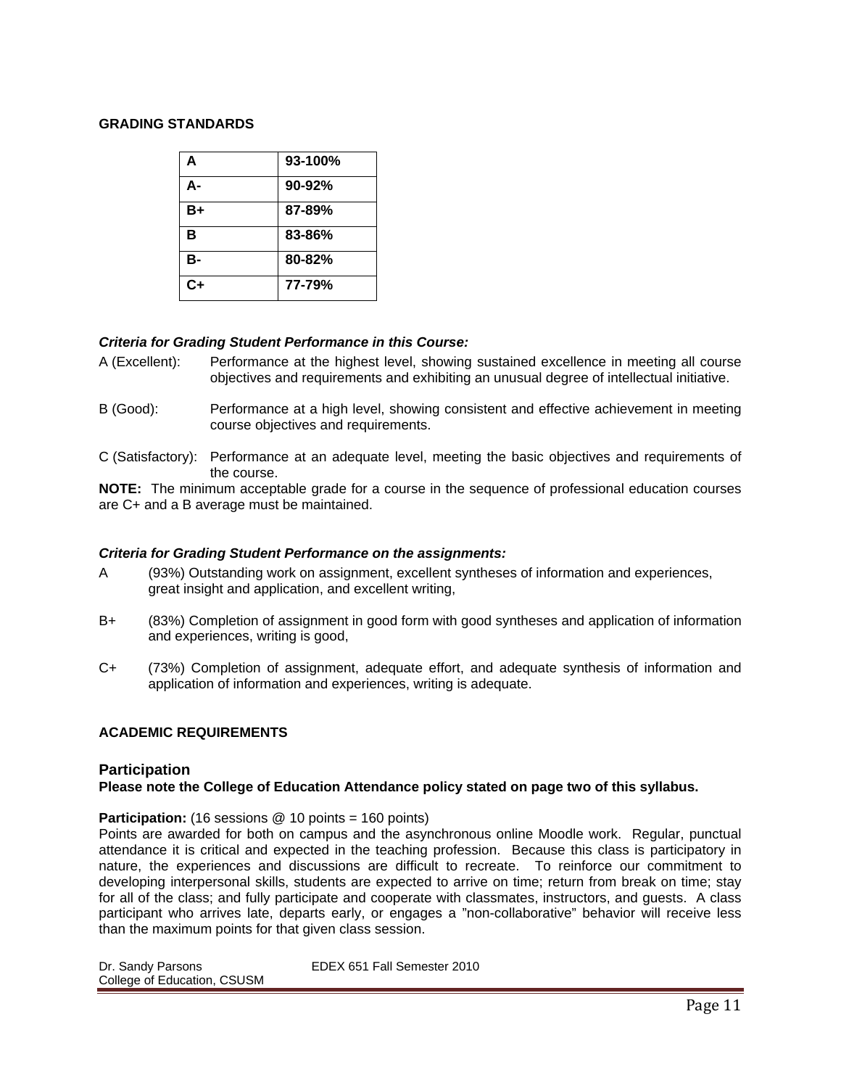#### **GRADING STANDARDS**

| A    | 93-100% |
|------|---------|
| А-   | 90-92%  |
| B+   | 87-89%  |
| в    | 83-86%  |
| в-   | 80-82%  |
| $C+$ | 77-79%  |

## *Criteria for Grading Student Performance in this Course:*

- A (Excellent): Performance at the highest level, showing sustained excellence in meeting all course objectives and requirements and exhibiting an unusual degree of intellectual initiative.
- B (Good): Performance at a high level, showing consistent and effective achievement in meeting course objectives and requirements.
- C (Satisfactory): Performance at an adequate level, meeting the basic objectives and requirements of the course.

**NOTE:** The minimum acceptable grade for a course in the sequence of professional education courses are C+ and a B average must be maintained.

#### *Criteria for Grading Student Performance on the assignments:*

- A (93%) Outstanding work on assignment, excellent syntheses of information and experiences, great insight and application, and excellent writing,
- B+ (83%) Completion of assignment in good form with good syntheses and application of information and experiences, writing is good,
- C+ (73%) Completion of assignment, adequate effort, and adequate synthesis of information and application of information and experiences, writing is adequate.

## **ACADEMIC REQUIREMENTS**

#### **Participation**

## **Please note the College of Education Attendance policy stated on page two of this syllabus.**

**Participation:** (16 sessions @ 10 points = 160 points)

Points are awarded for both on campus and the asynchronous online Moodle work. Regular, punctual attendance it is critical and expected in the teaching profession. Because this class is participatory in nature, the experiences and discussions are difficult to recreate. To reinforce our commitment to developing interpersonal skills, students are expected to arrive on time; return from break on time; stay for all of the class; and fully participate and cooperate with classmates, instructors, and guests. A class participant who arrives late, departs early, or engages a "non-collaborative" behavior will receive less than the maximum points for that given class session.

| Dr. Sandy Parsons           | EDEX 651 Fall Semester 2010 |
|-----------------------------|-----------------------------|
| College of Education, CSUSM |                             |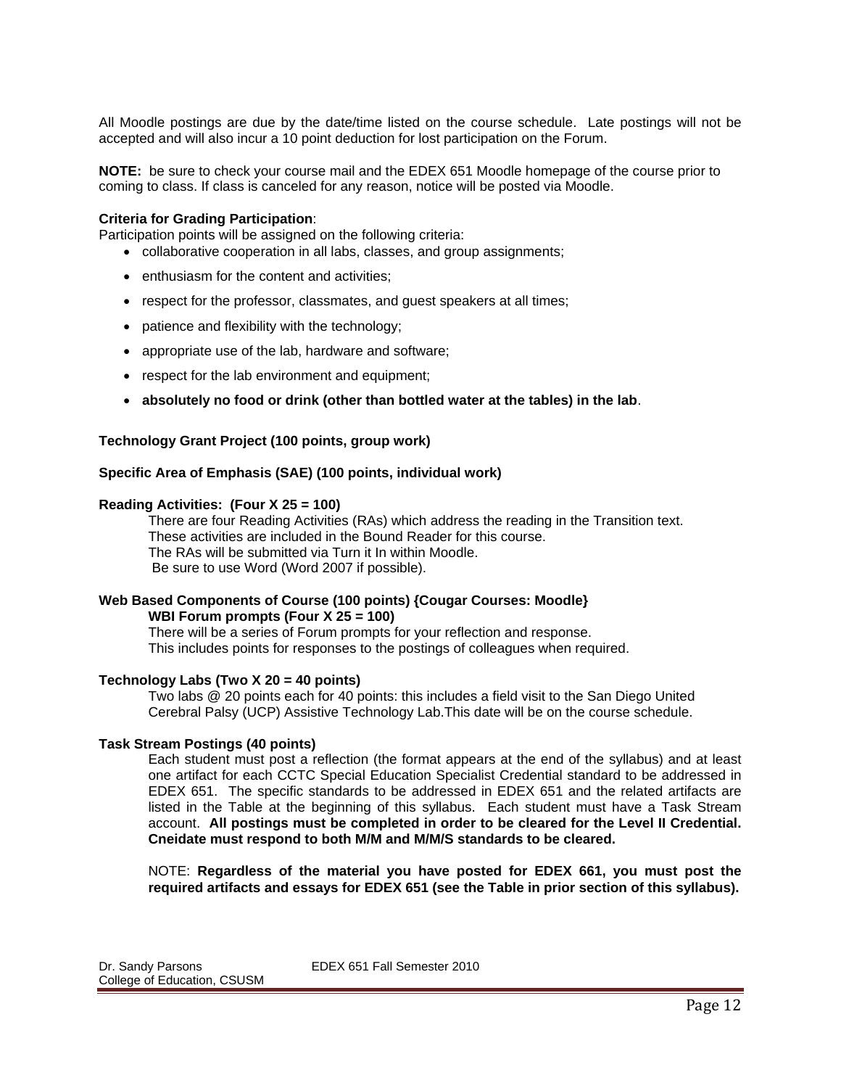All Moodle postings are due by the date/time listed on the course schedule. Late postings will not be accepted and will also incur a 10 point deduction for lost participation on the Forum.

**NOTE:** be sure to check your course mail and the EDEX 651 Moodle homepage of the course prior to coming to class. If class is canceled for any reason, notice will be posted via Moodle.

#### **Criteria for Grading Participation**:

Participation points will be assigned on the following criteria:

- collaborative cooperation in all labs, classes, and group assignments;
- enthusiasm for the content and activities;
- respect for the professor, classmates, and guest speakers at all times;
- patience and flexibility with the technology;
- appropriate use of the lab, hardware and software;
- respect for the lab environment and equipment;
- **absolutely no food or drink (other than bottled water at the tables) in the lab**.

#### **Technology Grant Project (100 points, group work)**

#### **Specific Area of Emphasis (SAE) (100 points, individual work)**

#### **Reading Activities: (Four X 25 = 100)**

 These activities are included in the Bound Reader for this course. There are four Reading Activities (RAs) which address the reading in the Transition text. The RAs will be submitted via Turn it In within Moodle. Be sure to use Word (Word 2007 if possible).

#### **Web Based Components of Course (100 points) {Cougar Courses: Moodle} WBI Forum prompts (Four X 25 = 100)**

There will be a series of Forum prompts for your reflection and response. This includes points for responses to the postings of colleagues when required.

#### **Technology Labs (Two X 20 = 40 points)**

Two labs @ 20 points each for 40 points: this includes a field visit to the San Diego United Cerebral Palsy (UCP) Assistive Technology Lab.This date will be on the course schedule.

#### **Task Stream Postings (40 points)**

Each student must post a reflection (the format appears at the end of the syllabus) and at least one artifact for each CCTC Special Education Specialist Credential standard to be addressed in EDEX 651. The specific standards to be addressed in EDEX 651 and the related artifacts are listed in the Table at the beginning of this syllabus. Each student must have a Task Stream account. **All postings must be completed in order to be cleared for the Level II Credential. Cneidate must respond to both M/M and M/M/S standards to be cleared.** 

NOTE: **Regardless of the material you have posted for EDEX 661, you must post the required artifacts and essays for EDEX 651 (see the Table in prior section of this syllabus).**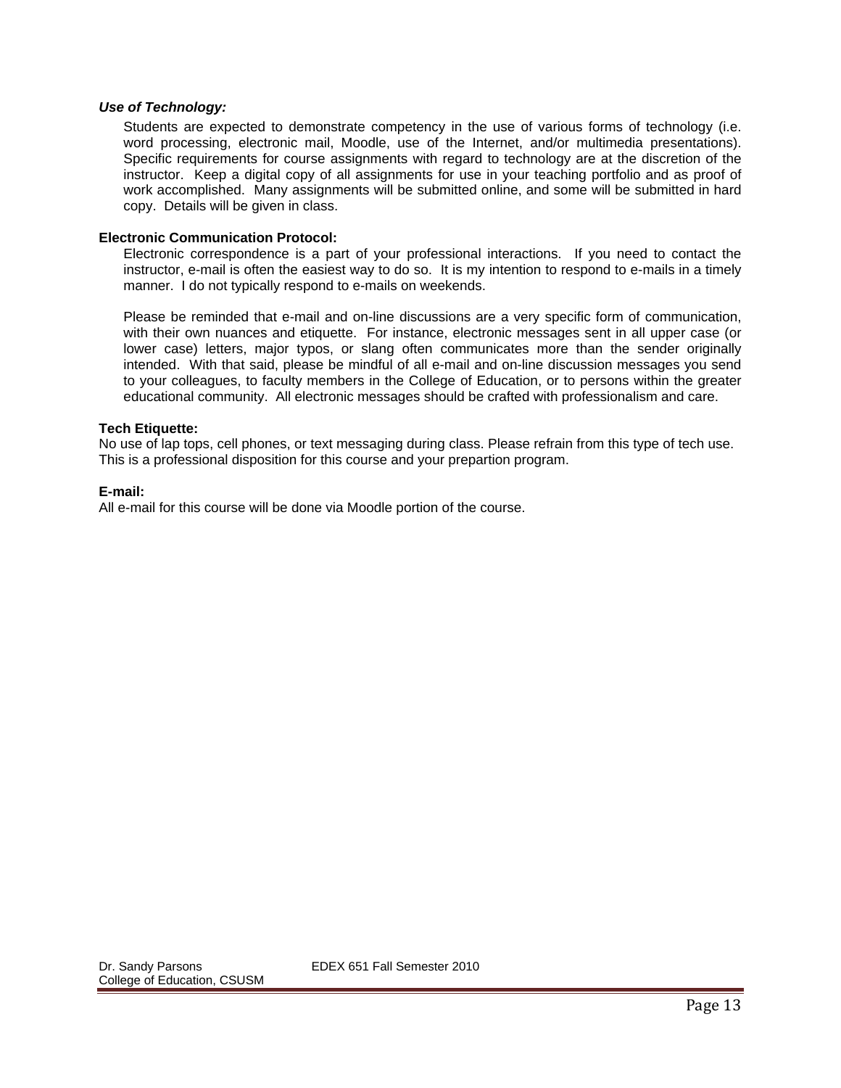#### *Use of Technology:*

Students are expected to demonstrate competency in the use of various forms of technology (i.e. word processing, electronic mail, Moodle, use of the Internet, and/or multimedia presentations). Specific requirements for course assignments with regard to technology are at the discretion of the instructor. Keep a digital copy of all assignments for use in your teaching portfolio and as proof of work accomplished. Many assignments will be submitted online, and some will be submitted in hard copy. Details will be given in class.

#### **Electronic Communication Protocol:**

Electronic correspondence is a part of your professional interactions. If you need to contact the instructor, e-mail is often the easiest way to do so. It is my intention to respond to e-mails in a timely manner. I do not typically respond to e-mails on weekends.

Please be reminded that e-mail and on-line discussions are a very specific form of communication, with their own nuances and etiquette. For instance, electronic messages sent in all upper case (or lower case) letters, major typos, or slang often communicates more than the sender originally intended. With that said, please be mindful of all e-mail and on-line discussion messages you send to your colleagues, to faculty members in the College of Education, or to persons within the greater educational community. All electronic messages should be crafted with professionalism and care.

#### **Tech Etiquette:**

No use of lap tops, cell phones, or text messaging during class. Please refrain from this type of tech use. This is a professional disposition for this course and your prepartion program.

#### **E-mail:**

All e-mail for this course will be done via Moodle portion of the course.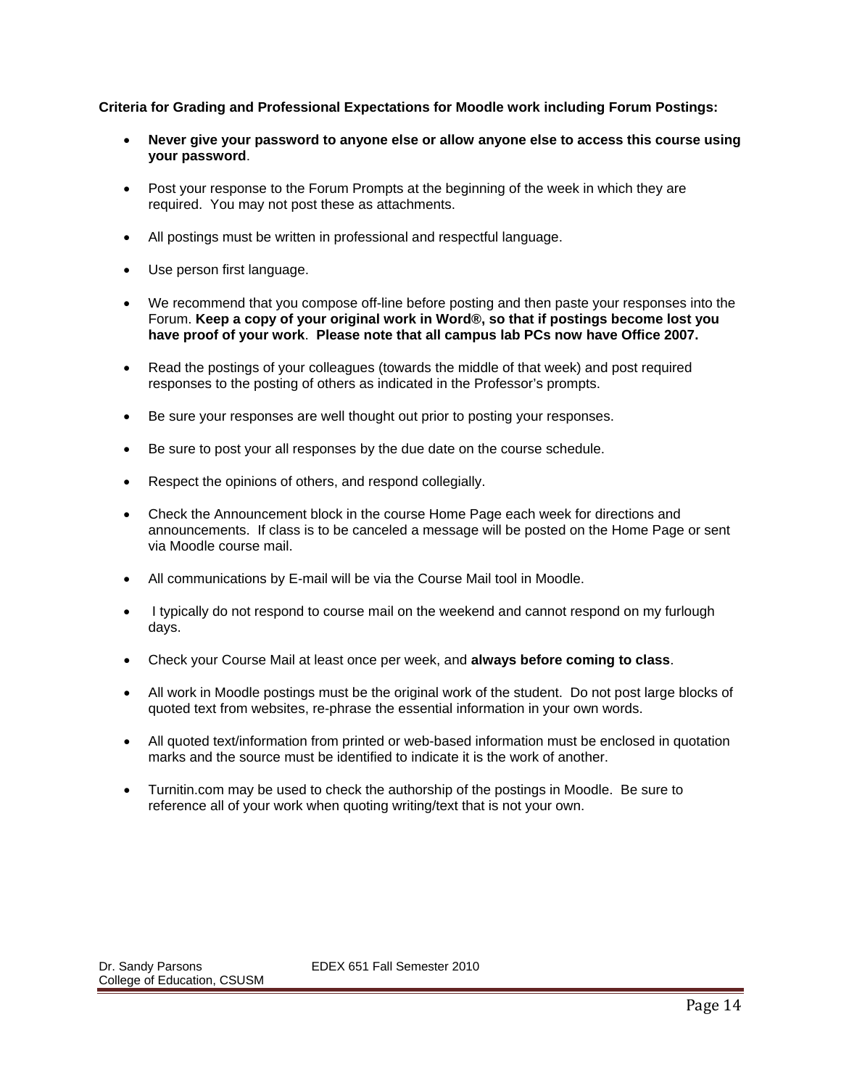## **Criteria for Grading and Professional Expectations for Moodle work including Forum Postings:**

- **Never give your password to anyone else or allow anyone else to access this course using your password**.
- Post your response to the Forum Prompts at the beginning of the week in which they are required. You may not post these as attachments.
- All postings must be written in professional and respectful language.
- Use person first language.
- We recommend that you compose off-line before posting and then paste your responses into the Forum. **Keep a copy of your original work in Word®, so that if postings become lost you have proof of your work**. **Please note that all campus lab PCs now have Office 2007.**
- Read the postings of your colleagues (towards the middle of that week) and post required responses to the posting of others as indicated in the Professor's prompts.
- Be sure your responses are well thought out prior to posting your responses.
- Be sure to post your all responses by the due date on the course schedule.
- Respect the opinions of others, and respond collegially.
- Check the Announcement block in the course Home Page each week for directions and announcements. If class is to be canceled a message will be posted on the Home Page or sent via Moodle course mail.
- All communications by E-mail will be via the Course Mail tool in Moodle.
- I typically do not respond to course mail on the weekend and cannot respond on my furlough days.
- Check your Course Mail at least once per week, and **always before coming to class**.
- All work in Moodle postings must be the original work of the student. Do not post large blocks of quoted text from websites, re-phrase the essential information in your own words.
- All quoted text/information from printed or web-based information must be enclosed in quotation marks and the source must be identified to indicate it is the work of another.
- Turnitin.com may be used to check the authorship of the postings in Moodle. Be sure to reference all of your work when quoting writing/text that is not your own.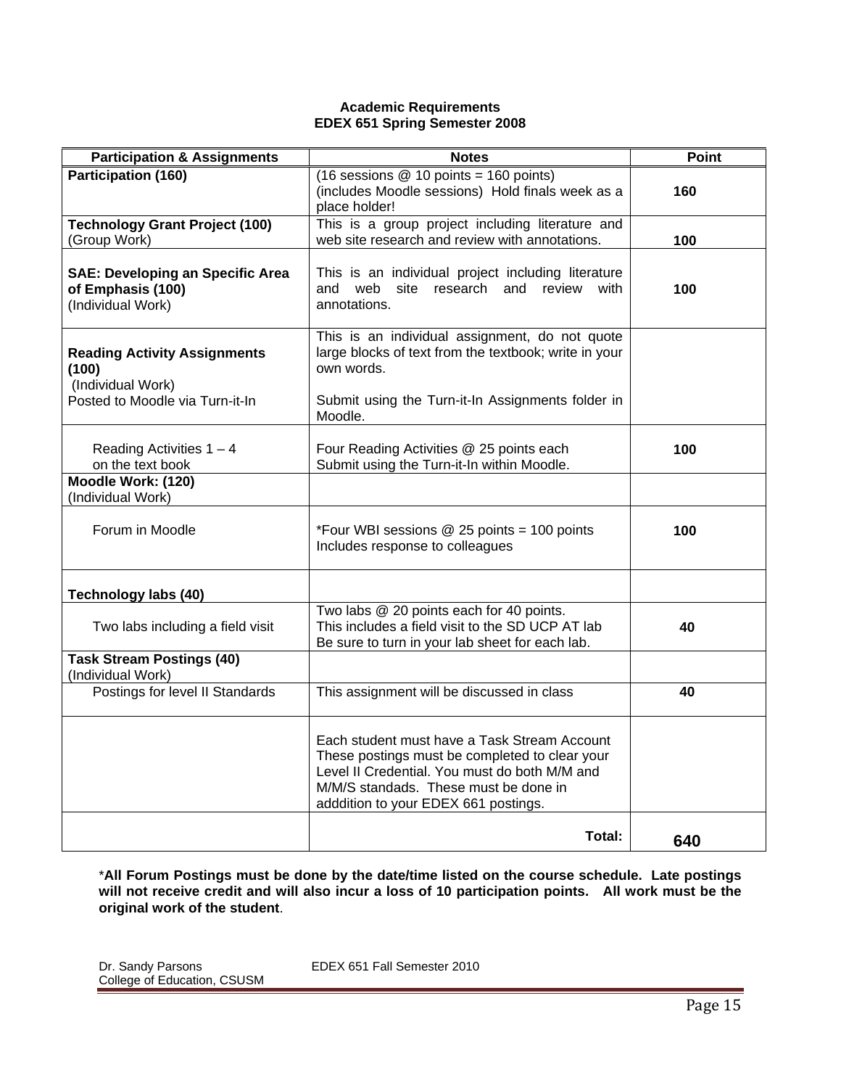#### **Academic Requirements EDEX 651 Spring Semester 2008**

| <b>Participation &amp; Assignments</b>                                                               | <b>Notes</b>                                                                                                                                                                                                                     | <b>Point</b> |
|------------------------------------------------------------------------------------------------------|----------------------------------------------------------------------------------------------------------------------------------------------------------------------------------------------------------------------------------|--------------|
| Participation (160)                                                                                  | (16 sessions $@$ 10 points = 160 points)<br>(includes Moodle sessions) Hold finals week as a<br>place holder!                                                                                                                    | 160          |
| <b>Technology Grant Project (100)</b><br>(Group Work)                                                | This is a group project including literature and<br>web site research and review with annotations.                                                                                                                               | 100          |
| <b>SAE: Developing an Specific Area</b><br>of Emphasis (100)<br>(Individual Work)                    | This is an individual project including literature<br>site research and review with<br>and web<br>annotations.                                                                                                                   | 100          |
| <b>Reading Activity Assignments</b><br>(100)<br>(Individual Work)<br>Posted to Moodle via Turn-it-In | This is an individual assignment, do not quote<br>large blocks of text from the textbook; write in your<br>own words.<br>Submit using the Turn-it-In Assignments folder in                                                       |              |
| Reading Activities $1 - 4$<br>on the text book                                                       | Moodle.<br>Four Reading Activities @ 25 points each<br>Submit using the Turn-it-In within Moodle.                                                                                                                                | 100          |
| Moodle Work: (120)<br>(Individual Work)                                                              |                                                                                                                                                                                                                                  |              |
| Forum in Moodle                                                                                      | *Four WBI sessions @ 25 points = 100 points<br>Includes response to colleagues                                                                                                                                                   | 100          |
| <b>Technology labs (40)</b>                                                                          |                                                                                                                                                                                                                                  |              |
| Two labs including a field visit                                                                     | Two labs @ 20 points each for 40 points.<br>This includes a field visit to the SD UCP AT lab<br>Be sure to turn in your lab sheet for each lab.                                                                                  | 40           |
| <b>Task Stream Postings (40)</b><br>(Individual Work)                                                |                                                                                                                                                                                                                                  |              |
| Postings for level II Standards                                                                      | This assignment will be discussed in class                                                                                                                                                                                       | 40           |
|                                                                                                      | Each student must have a Task Stream Account<br>These postings must be completed to clear your<br>Level II Credential. You must do both M/M and<br>M/M/S standads. These must be done in<br>adddition to your EDEX 661 postings. |              |
|                                                                                                      | Total:                                                                                                                                                                                                                           | 640          |

\***All Forum Postings must be done by the date/time listed on the course schedule. Late postings will not receive credit and will also incur a loss of 10 participation points. All work must be the original work of the student**.

Dr. Sandy Parsons EDEX 651 Fall Semester 2010 College of Education, CSUSM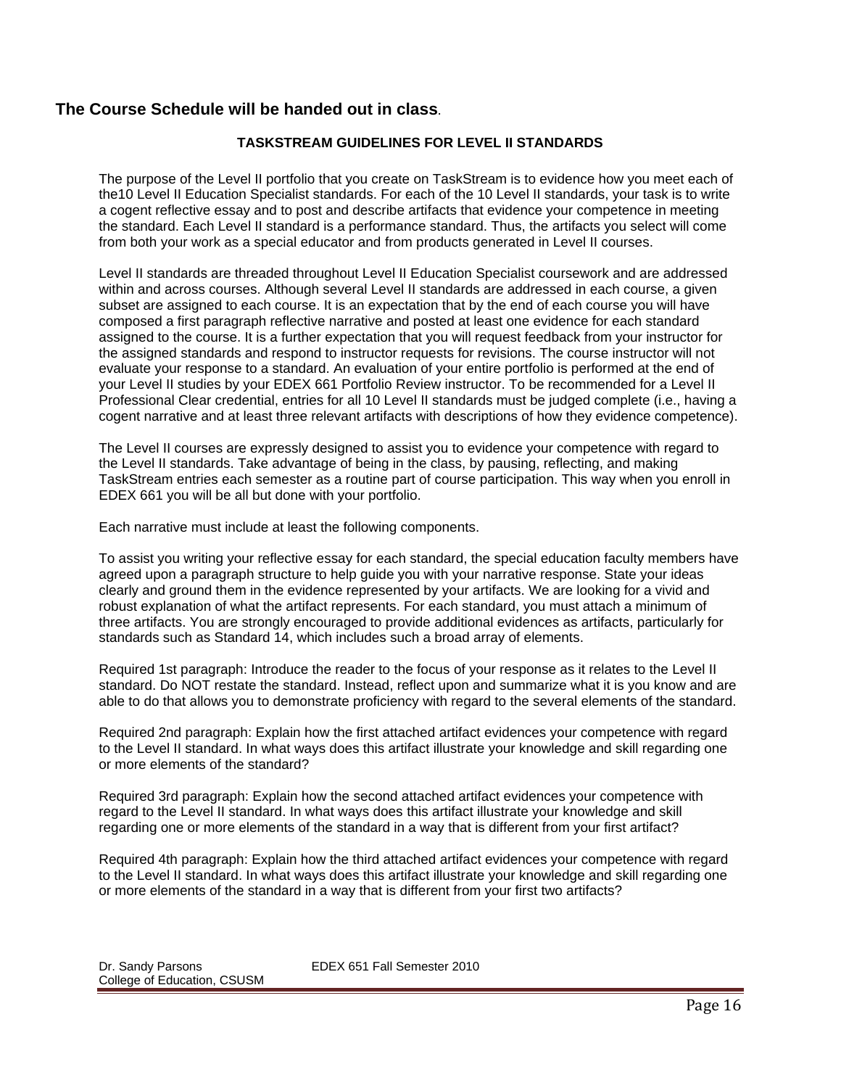# **The Course Schedule will be handed out in class**.

## **TASKSTREAM GUIDELINES FOR LEVEL II STANDARDS**

The purpose of the Level II portfolio that you create on TaskStream is to evidence how you meet each of the10 Level II Education Specialist standards. For each of the 10 Level II standards, your task is to write a cogent reflective essay and to post and describe artifacts that evidence your competence in meeting the standard. Each Level II standard is a performance standard. Thus, the artifacts you select will come from both your work as a special educator and from products generated in Level II courses.

Level II standards are threaded throughout Level II Education Specialist coursework and are addressed within and across courses. Although several Level II standards are addressed in each course, a given subset are assigned to each course. It is an expectation that by the end of each course you will have composed a first paragraph reflective narrative and posted at least one evidence for each standard assigned to the course. It is a further expectation that you will request feedback from your instructor for the assigned standards and respond to instructor requests for revisions. The course instructor will not evaluate your response to a standard. An evaluation of your entire portfolio is performed at the end of your Level II studies by your EDEX 661 Portfolio Review instructor. To be recommended for a Level II Professional Clear credential, entries for all 10 Level II standards must be judged complete (i.e., having a cogent narrative and at least three relevant artifacts with descriptions of how they evidence competence).

The Level II courses are expressly designed to assist you to evidence your competence with regard to the Level II standards. Take advantage of being in the class, by pausing, reflecting, and making TaskStream entries each semester as a routine part of course participation. This way when you enroll in EDEX 661 you will be all but done with your portfolio.

Each narrative must include at least the following components.

To assist you writing your reflective essay for each standard, the special education faculty members have agreed upon a paragraph structure to help guide you with your narrative response. State your ideas clearly and ground them in the evidence represented by your artifacts. We are looking for a vivid and robust explanation of what the artifact represents. For each standard, you must attach a minimum of three artifacts. You are strongly encouraged to provide additional evidences as artifacts, particularly for standards such as Standard 14, which includes such a broad array of elements.

Required 1st paragraph: Introduce the reader to the focus of your response as it relates to the Level II standard. Do NOT restate the standard. Instead, reflect upon and summarize what it is you know and are able to do that allows you to demonstrate proficiency with regard to the several elements of the standard.

Required 2nd paragraph: Explain how the first attached artifact evidences your competence with regard to the Level II standard. In what ways does this artifact illustrate your knowledge and skill regarding one or more elements of the standard?

Required 3rd paragraph: Explain how the second attached artifact evidences your competence with regard to the Level II standard. In what ways does this artifact illustrate your knowledge and skill regarding one or more elements of the standard in a way that is different from your first artifact?

Required 4th paragraph: Explain how the third attached artifact evidences your competence with regard to the Level II standard. In what ways does this artifact illustrate your knowledge and skill regarding one or more elements of the standard in a way that is different from your first two artifacts?